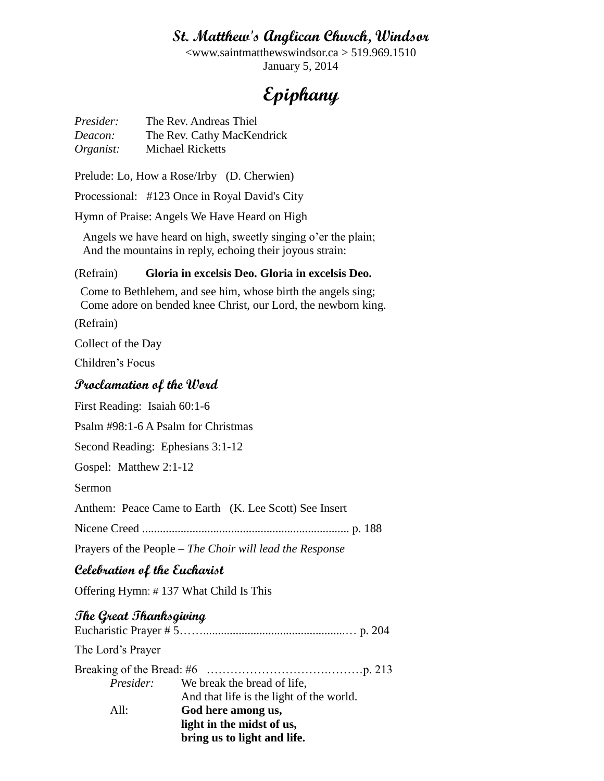# **St. Matthew's Anglican Church, Windsor**

<www.saintmatthewswindsor.ca > 519.969.1510 January 5, 2014

# **Epiphany**

*Presider:* The Rev. Andreas Thiel *Deacon:* The Rev. Cathy MacKendrick *Organist:* Michael Ricketts

Prelude: Lo, How a Rose/Irby (D. Cherwien)

Processional: #123 Once in Royal David's City

Hymn of Praise: Angels We Have Heard on High

 Angels we have heard on high, sweetly singing o'er the plain; And the mountains in reply, echoing their joyous strain:

#### (Refrain) **Gloria in excelsis Deo. Gloria in excelsis Deo.**

 Come to Bethlehem, and see him, whose birth the angels sing; Come adore on bended knee Christ, our Lord, the newborn king.

(Refrain)

Collect of the Day

Children's Focus

#### **Proclamation of the Word**

First Reading: Isaiah 60:1-6

Psalm #98:1-6 A Psalm for Christmas

Second Reading: Ephesians 3:1-12

Gospel: Matthew 2:1-12

Sermon

Anthem: Peace Came to Earth (K. Lee Scott) See Insert

Nicene Creed ...................................................................... p. 188

Prayers of the People – *The Choir will lead the Response*

## **Celebration of the Eucharist**

Offering Hymn: # 137 What Child Is This

### **The Great Thanksgiving**

|                   | bring us to light and life.                  |
|-------------------|----------------------------------------------|
|                   | light in the midst of us,                    |
| All:              | God here among us,                           |
|                   | And that life is the light of the world.     |
|                   | <i>Presider:</i> We break the bread of life, |
|                   |                                              |
| The Lord's Prayer |                                              |
|                   |                                              |
|                   |                                              |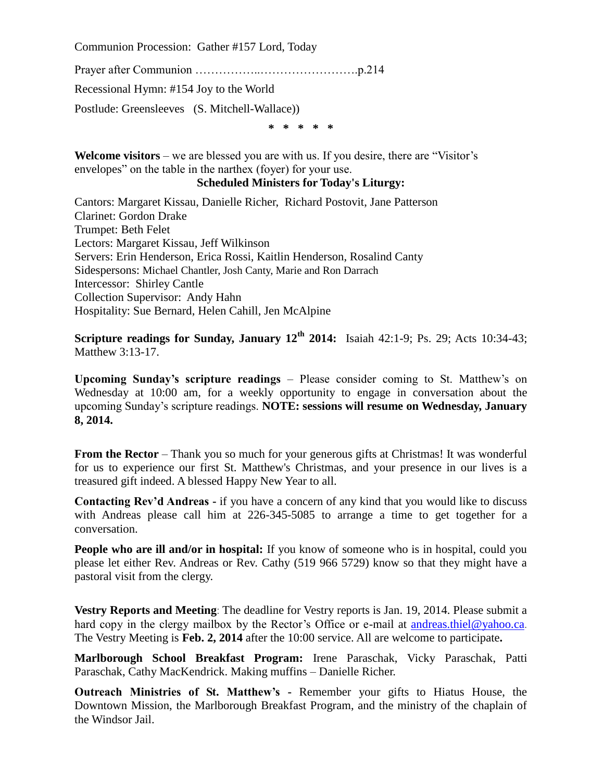Communion Procession: Gather #157 Lord, Today

Prayer after Communion ……………..…………………….p.214

Recessional Hymn: #154 Joy to the World

Postlude: Greensleeves (S. Mitchell-Wallace))

**\* \* \* \* \***

**Welcome visitors** – we are blessed you are with us. If you desire, there are "Visitor's envelopes" on the table in the narthex (foyer) for your use.

#### **Scheduled Ministers for Today's Liturgy:**

Cantors: Margaret Kissau, Danielle Richer, Richard Postovit, Jane Patterson Clarinet: Gordon Drake Trumpet: Beth Felet Lectors: Margaret Kissau, Jeff Wilkinson Servers: Erin Henderson, Erica Rossi, Kaitlin Henderson, Rosalind Canty Sidespersons: Michael Chantler, Josh Canty, Marie and Ron Darrach Intercessor: Shirley Cantle Collection Supervisor: Andy Hahn Hospitality: Sue Bernard, Helen Cahill, Jen McAlpine

**Scripture readings for Sunday, January 12th 2014:** Isaiah 42:1-9; Ps. 29; Acts 10:34-43; Matthew 3:13-17.

**Upcoming Sunday's scripture readings** – Please consider coming to St. Matthew's on Wednesday at 10:00 am, for a weekly opportunity to engage in conversation about the upcoming Sunday's scripture readings. **NOTE: sessions will resume on Wednesday, January 8, 2014.**

**From the Rector** – Thank you so much for your generous gifts at Christmas! It was wonderful for us to experience our first St. Matthew's Christmas, and your presence in our lives is a treasured gift indeed. A blessed Happy New Year to all.

**Contacting Rev'd Andreas -** if you have a concern of any kind that you would like to discuss with Andreas please call him at 226-345-5085 to arrange a time to get together for a conversation.

**People who are ill and/or in hospital:** If you know of someone who is in hospital, could you please let either Rev. Andreas or Rev. Cathy (519 966 5729) know so that they might have a pastoral visit from the clergy.

**Vestry Reports and Meeting**: The deadline for Vestry reports is Jan. 19, 2014. Please submit a hard copy in the clergy mailbox by the Rector's Office or e-mail at [andreas.thiel@yahoo.ca](mailto:andreas.thiel@yahoo.ca). The Vestry Meeting is **Feb. 2, 2014** after the 10:00 service. All are welcome to participate**.**

**Marlborough School Breakfast Program:** Irene Paraschak, Vicky Paraschak, Patti Paraschak, Cathy MacKendrick. Making muffins – Danielle Richer.

**Outreach Ministries of St. Matthew's -** Remember your gifts to Hiatus House, the Downtown Mission, the Marlborough Breakfast Program, and the ministry of the chaplain of the Windsor Jail.